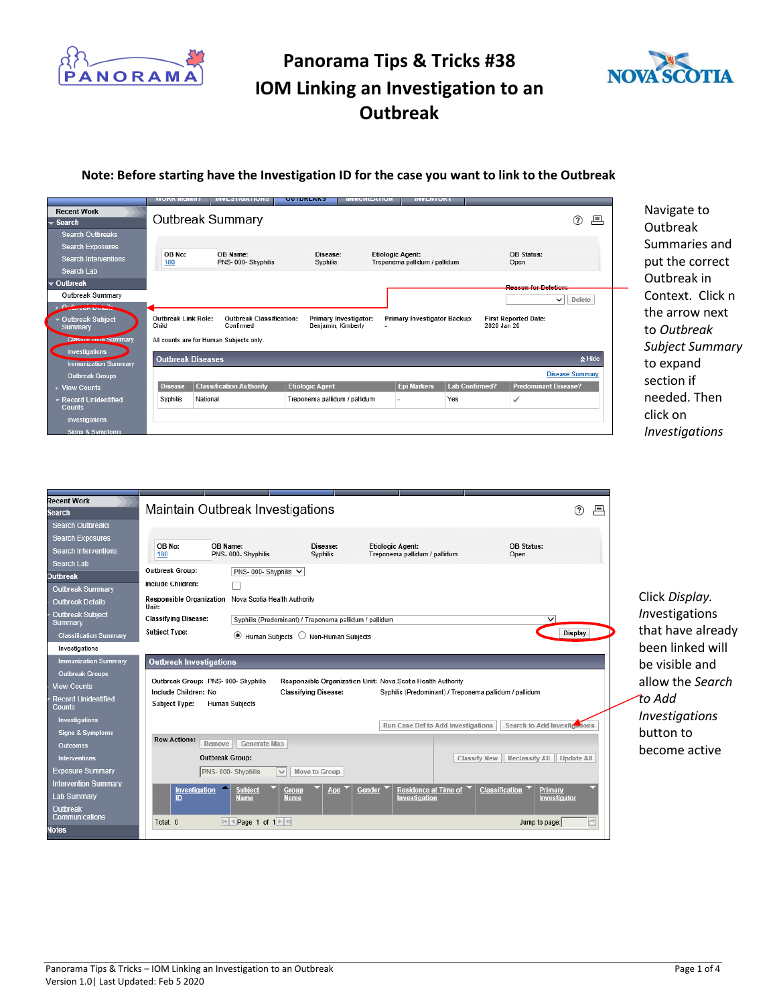



#### **Note: Before starting have the Investigation ID for the case you want to link to the Outbreak**

|                                                    | <b>TOWN MORTH</b>                   |                                              | ---------                     |                       | <b><i><u><u><b>INVLIVIONI</b></u></u></i></b>            |                       |                             |   |
|----------------------------------------------------|-------------------------------------|----------------------------------------------|-------------------------------|-----------------------|----------------------------------------------------------|-----------------------|-----------------------------|---|
| <b>Recent Work</b><br>$\blacktriangleright$ Search | <b>Outbreak Summary</b>             |                                              |                               |                       |                                                          |                       | ?                           | 戶 |
| <b>Search Outbreaks</b>                            |                                     |                                              |                               |                       |                                                          |                       |                             |   |
| <b>Search Exposures</b>                            |                                     |                                              |                               |                       |                                                          |                       |                             |   |
| <b>Search Interventions</b>                        | OB No:<br>180                       | OB Name:<br>PNS-000-Shyphilis                | Disease:<br>Syphilis          |                       | <b>Etiologic Agent:</b><br>Treponema pallidum / pallidum |                       | OB Status:<br>Open          |   |
| Search Lab                                         |                                     |                                              |                               |                       |                                                          |                       |                             |   |
| $\div$ Outbreak                                    |                                     |                                              |                               |                       |                                                          |                       | <b>Deseon for Delation:</b> |   |
| Outbreak Summary                                   |                                     |                                              |                               |                       |                                                          |                       | $\checkmark$<br>Delete      |   |
| Q <sub>1</sub><br><b>CONSTRUCTS</b>                |                                     |                                              |                               |                       |                                                          |                       |                             |   |
| ▼ Outbreak Subject<br>Summarv                      | <b>Outbreak Link Role:</b><br>Child | <b>Outbreak Classification:</b><br>Confirmed | Benjamin, Kimberly            | Primary Investigator: | Primary Investigator Backup:                             | 2020 Jan 20           | <b>First Reported Date:</b> |   |
| <b>Classing August Summary</b>                     |                                     | All counts are for Human Subjects only.      |                               |                       |                                                          |                       |                             |   |
| Investigations                                     |                                     |                                              |                               |                       |                                                          |                       |                             |   |
| <b>Immunization Summary</b>                        | <b>Outbreak Diseases</b>            |                                              |                               |                       |                                                          |                       | $\lambda$ Hide              |   |
| <b>Outbreak Groups</b>                             |                                     |                                              |                               |                       |                                                          |                       | <b>Disease Summary</b>      |   |
| <b>View Counts</b>                                 | <b>Disease</b>                      | <b>Classification Authority</b>              | <b>Etiologic Agent</b>        |                       | <b>Epi Markers</b>                                       | <b>Lab Confirmed?</b> | <b>Predominant Disease?</b> |   |
| ▼ Record Unidentified<br><b>Counts</b>             | Syphilis<br>National                |                                              | Treponema pallidum / pallidum |                       |                                                          | Yes                   | ✓                           |   |
| Investigations                                     |                                     |                                              |                               |                       |                                                          |                       |                             |   |
| <b>Signs &amp; Symptoms</b>                        |                                     |                                              |                               |                       |                                                          |                       |                             |   |

Navigate to Outbreak Summaries and put the correct Outbreak in Context. Click n the arrow next to *Outbreak Subject Summary* to expand section if needed. Then click on *Investigations*

| <b>Recent Work</b><br><b>Search</b><br><b>Search Outbreaks</b><br><b>Search Exposures</b><br><b>Search Interventions</b><br>Search Lab | Maintain Outbreak Investigations<br>$\circledR$<br>戶<br>OB No:<br>OB Name:<br><b>Etiologic Agent:</b><br><b>OB Status:</b><br>Disease:<br>PNS-000-Shyphilis<br>Syphilis<br>Treponema pallidum / pallidum<br>180<br>Open |                       |
|----------------------------------------------------------------------------------------------------------------------------------------|-------------------------------------------------------------------------------------------------------------------------------------------------------------------------------------------------------------------------|-----------------------|
| <b>Dutbreak</b>                                                                                                                        | Outbreak Group:<br>PNS- 000- Shyphilis V                                                                                                                                                                                |                       |
| <b>Outbreak Summary</b>                                                                                                                | Include Children:                                                                                                                                                                                                       |                       |
| <b>Outbreak Details</b>                                                                                                                | Responsible Organization Nova Scotia Health Authority<br>Unit:                                                                                                                                                          | Click Display.        |
| <b>Outbreak Subiect</b><br>Summary                                                                                                     | <b>Classifying Disease:</b><br>Syphilis (Predominant) / Treponema pallidum / pallidum<br>$\checkmark$                                                                                                                   | Investigations        |
| <b>Classification Summary</b>                                                                                                          | <b>Subject Type:</b><br>Display<br>$\bullet$ Human Subjects $\circlearrowright$ Non-Human Subjects                                                                                                                      | that have already     |
| Investigations                                                                                                                         |                                                                                                                                                                                                                         | been linked will      |
| <b>Immunization Summary</b>                                                                                                            | <b>Outbreak Investigations</b>                                                                                                                                                                                          | be visible and        |
| <b>Outbreak Groups</b>                                                                                                                 | Outbreak Group: PNS- 000- Shyphilis<br>Responsible Organization Unit: Nova Scotia Health Authority                                                                                                                      |                       |
| <b>View Counts</b>                                                                                                                     | Include Children: No<br><b>Classifving Disease:</b><br>Syphilis (Predominant) / Treponema pallidum / pallidum                                                                                                           | allow the Search      |
| <b>Record Unidentified</b><br>Counts                                                                                                   | <b>Human Subjects</b><br><b>Subject Type:</b>                                                                                                                                                                           | to Add                |
| Investigations                                                                                                                         | Search to Add Investigations<br>Run Case Def to Add Investigations                                                                                                                                                      | <b>Investigations</b> |
| <b>Signs &amp; Symptoms</b>                                                                                                            | <b>Row Actions:</b>                                                                                                                                                                                                     | button to             |
| Outcomes                                                                                                                               | Remove<br>Generate Map                                                                                                                                                                                                  | become active         |
| <b>Interventions</b>                                                                                                                   | <b>Outbreak Group:</b><br>Reclassify All Update All<br><b>Classify New</b>                                                                                                                                              |                       |
| <b>Exposure Summary</b>                                                                                                                | PNS-000-Shyphilis<br>Move to Group<br>$\checkmark$                                                                                                                                                                      |                       |
| <b>Intervention Summary</b>                                                                                                            | Residence at Time of<br>▴<br>Gender<br>Classification<br>Investigation<br><b>Subject</b><br>Group<br>Primary<br>Age                                                                                                     |                       |
| <b>Lab Summary</b>                                                                                                                     | ID<br><b>Name</b><br><b>Name</b><br>Investigation<br>Investigator                                                                                                                                                       |                       |
| Outbreak<br>Communications                                                                                                             |                                                                                                                                                                                                                         |                       |
| <b>Notes</b>                                                                                                                           | $ A $ + Page 1 of 1 $\blacktriangleright$ $ B $<br>Jump to page:<br>Total: 0                                                                                                                                            |                       |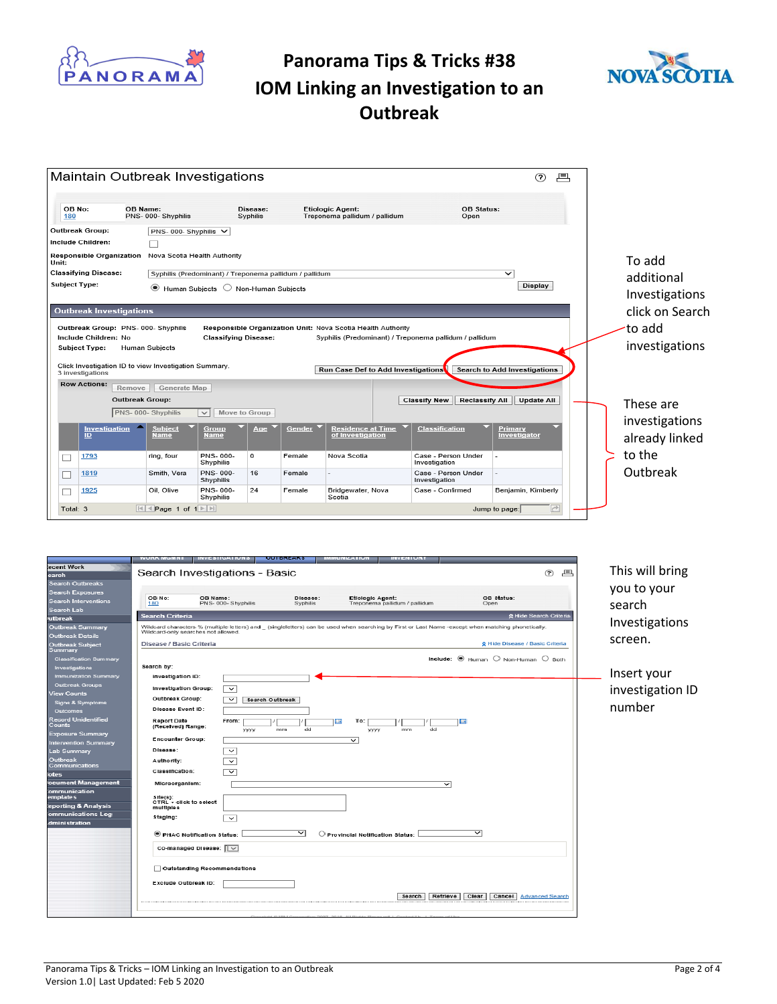



|                                                                | Maintain Outbreak Investigations                       |                      |        |                                                                                                                       |                                              | ?<br>戶                              |                                  |
|----------------------------------------------------------------|--------------------------------------------------------|----------------------|--------|-----------------------------------------------------------------------------------------------------------------------|----------------------------------------------|-------------------------------------|----------------------------------|
| OB No:<br>OB Name:<br>180                                      | PNS-000-Shyphilis                                      | Disease:<br>Syphilis |        | <b>Etiologic Agent:</b><br>Treponema pallidum / pallidum                                                              | OB Status:<br>Open                           |                                     |                                  |
| Outbreak Group:                                                | PNS- 000- Shyphilis V                                  |                      |        |                                                                                                                       |                                              |                                     |                                  |
| Include Children:                                              |                                                        |                      |        |                                                                                                                       |                                              |                                     |                                  |
| Responsible Organization Nova Scotia Health Authority<br>Unit: |                                                        |                      |        |                                                                                                                       |                                              |                                     | To add                           |
| <b>Classifying Disease:</b>                                    | Syphilis (Predominant) / Treponema pallidum / pallidum |                      |        |                                                                                                                       |                                              | $\checkmark$                        | additional                       |
| Subject Type:                                                  | ۰<br>Human Subjects ◯ Non-Human Subjects               |                      |        |                                                                                                                       |                                              | Display                             | Investigations                   |
| <b>Outbreak Investigations</b>                                 |                                                        |                      |        |                                                                                                                       |                                              |                                     | click on Search                  |
|                                                                |                                                        |                      |        |                                                                                                                       |                                              |                                     |                                  |
| Outbreak Group: PNS-000-Shyphilis<br>Include Children: No.     | <b>Classifying Disease:</b>                            |                      |        | Responsible Organization Unit: Nova Scotia Health Authority<br>Syphilis (Predominant) / Treponema pallidum / pallidum |                                              |                                     | to add <sup>.</sup>              |
| <b>Subject Type:</b>                                           | <b>Human Subjects</b>                                  |                      |        |                                                                                                                       |                                              |                                     | investigations                   |
|                                                                |                                                        |                      |        |                                                                                                                       |                                              |                                     |                                  |
| Click Investigation ID to view Investigation Summary.          |                                                        |                      |        |                                                                                                                       |                                              |                                     |                                  |
| 3 investigations                                               |                                                        |                      |        | Run Case Def to Add Investigations                                                                                    |                                              | <b>Search to Add Investigations</b> |                                  |
| <b>Row Actions:</b><br>Remove                                  | Generate Map                                           |                      |        |                                                                                                                       |                                              |                                     |                                  |
| <b>Outbreak Group:</b>                                         |                                                        |                      |        |                                                                                                                       | <b>Classify New</b><br><b>Reclassify All</b> | <b>Update All</b>                   | These are                        |
|                                                                | PNS-000-Shyphilis<br>$\checkmark$                      | Move to Group        |        |                                                                                                                       |                                              |                                     |                                  |
| Investigation<br>ID.                                           | <b>Subject</b><br>Group<br>Name<br>Name                | Age                  | Gender | <b>Residence at Time</b><br>of Investigation                                                                          | <b>Classification</b>                        | Primary<br>Investigator             | investigations<br>already linked |
| 1793<br>ப                                                      | PNS-000-<br>ring, four<br>Shyphilis                    | 0                    | Female | Nova Scotia                                                                                                           | Case - Person Under<br>Investigation         |                                     | to the                           |
| 1819                                                           | PNS-000-<br>Smith, Vera<br>Shyphilis                   | 16                   | Female |                                                                                                                       | Case - Person Under<br>Investigation         |                                     | Outbreak                         |
| 1925                                                           | PNS-000-<br>Oil, Olive<br>Shyphilis                    | 24                   | Female | Bridgewater, Nova<br>Scotia                                                                                           | Case - Confirmed                             | Benjamin, Kimberly                  |                                  |

| ecent Work<br>This will bring<br>Search Investigations - Basic<br>冎<br>(2)<br>earch<br><b>Search Outbreaks</b><br>you to your<br>Search Exposures<br>OB No:<br>OB Status:<br>OB Name:<br><b>Disease:</b><br>Etiologic Agent:<br>Search Interventions<br>180<br>PNS- 000-Shyphilis<br>Syphilis<br>search<br>Treponema pallidum / pallidum<br>Open<br>Search Lab<br><b>Search Criteria</b><br>☆ Hide Search Criteria<br>utbreak<br>Investigations<br>Outbreak Summary<br>Wildcard characters % (multiple letters) and (singleletters) can be used when searching by First or Last Name -except when matching phonetically.<br>Wildcard-only searches not allowed.<br><b>Outbreak Details</b><br>screen.<br>Disease / Basic Criteria<br>☆ Hide Disease / Basic Criteria<br>Outbreak Subject<br>Summary<br>Include: $\circledast$ Human $\circlearrowright$ Non-Human $\circlearrowright$ Both<br><b>Classification Summary</b><br>Search by:<br>Investigations<br>Insert your<br>Immunization Summary<br>Investigation ID:<br><b>Outbreak Groups</b><br>Investigation Group:<br>$\checkmark$<br><b>View Counts</b><br>Outbreak Group:<br>$\check{ }$<br><b>Search Outbreak</b><br>Signs & Symptoms<br>number<br>Disease Event ID:<br><b>Outcomes</b><br><b>Record Unidentified</b><br><b>Report Date</b><br>From:<br><b>IIE</b><br>To:<br>Counts<br>(Received) Range:<br>dd<br>dd<br>mm<br><b>yyyy</b><br>yyyy<br>mm<br><b>Exposure Summary</b><br><b>Encounter Group:</b><br>$\checkmark$<br>Intervention Summary<br><b>Disease:</b><br>$\check{~}$<br>Lab Summary<br>Outbreak<br>Authority:<br>$\overline{\phantom{0}}$<br>Communications<br>Classification:<br>$\overline{\phantom{0}}$<br>lotes<br>ocument Management<br>Microorganism:<br>$\checkmark$<br>communication<br>emplates<br>Site(s):<br>CTRL + click to select<br>eporting & Analysis<br>multiples<br>ommunications Log<br>StagIng:<br>$\overline{\phantom{0}}$<br>dministration<br>$\checkmark$<br>$\checkmark$<br>PHAC Notification Status:<br>Provincial Notification Status:<br>Co-managed Disease: $   \vee$ |
|--------------------------------------------------------------------------------------------------------------------------------------------------------------------------------------------------------------------------------------------------------------------------------------------------------------------------------------------------------------------------------------------------------------------------------------------------------------------------------------------------------------------------------------------------------------------------------------------------------------------------------------------------------------------------------------------------------------------------------------------------------------------------------------------------------------------------------------------------------------------------------------------------------------------------------------------------------------------------------------------------------------------------------------------------------------------------------------------------------------------------------------------------------------------------------------------------------------------------------------------------------------------------------------------------------------------------------------------------------------------------------------------------------------------------------------------------------------------------------------------------------------------------------------------------------------------------------------------------------------------------------------------------------------------------------------------------------------------------------------------------------------------------------------------------------------------------------------------------------------------------------------------------------------------------------------------------------------------------------------------------------------------------------------------------------------------------------|
|                                                                                                                                                                                                                                                                                                                                                                                                                                                                                                                                                                                                                                                                                                                                                                                                                                                                                                                                                                                                                                                                                                                                                                                                                                                                                                                                                                                                                                                                                                                                                                                                                                                                                                                                                                                                                                                                                                                                                                                                                                                                                |
|                                                                                                                                                                                                                                                                                                                                                                                                                                                                                                                                                                                                                                                                                                                                                                                                                                                                                                                                                                                                                                                                                                                                                                                                                                                                                                                                                                                                                                                                                                                                                                                                                                                                                                                                                                                                                                                                                                                                                                                                                                                                                |
|                                                                                                                                                                                                                                                                                                                                                                                                                                                                                                                                                                                                                                                                                                                                                                                                                                                                                                                                                                                                                                                                                                                                                                                                                                                                                                                                                                                                                                                                                                                                                                                                                                                                                                                                                                                                                                                                                                                                                                                                                                                                                |
|                                                                                                                                                                                                                                                                                                                                                                                                                                                                                                                                                                                                                                                                                                                                                                                                                                                                                                                                                                                                                                                                                                                                                                                                                                                                                                                                                                                                                                                                                                                                                                                                                                                                                                                                                                                                                                                                                                                                                                                                                                                                                |
| investigation ID                                                                                                                                                                                                                                                                                                                                                                                                                                                                                                                                                                                                                                                                                                                                                                                                                                                                                                                                                                                                                                                                                                                                                                                                                                                                                                                                                                                                                                                                                                                                                                                                                                                                                                                                                                                                                                                                                                                                                                                                                                                               |
|                                                                                                                                                                                                                                                                                                                                                                                                                                                                                                                                                                                                                                                                                                                                                                                                                                                                                                                                                                                                                                                                                                                                                                                                                                                                                                                                                                                                                                                                                                                                                                                                                                                                                                                                                                                                                                                                                                                                                                                                                                                                                |
|                                                                                                                                                                                                                                                                                                                                                                                                                                                                                                                                                                                                                                                                                                                                                                                                                                                                                                                                                                                                                                                                                                                                                                                                                                                                                                                                                                                                                                                                                                                                                                                                                                                                                                                                                                                                                                                                                                                                                                                                                                                                                |
|                                                                                                                                                                                                                                                                                                                                                                                                                                                                                                                                                                                                                                                                                                                                                                                                                                                                                                                                                                                                                                                                                                                                                                                                                                                                                                                                                                                                                                                                                                                                                                                                                                                                                                                                                                                                                                                                                                                                                                                                                                                                                |
|                                                                                                                                                                                                                                                                                                                                                                                                                                                                                                                                                                                                                                                                                                                                                                                                                                                                                                                                                                                                                                                                                                                                                                                                                                                                                                                                                                                                                                                                                                                                                                                                                                                                                                                                                                                                                                                                                                                                                                                                                                                                                |
|                                                                                                                                                                                                                                                                                                                                                                                                                                                                                                                                                                                                                                                                                                                                                                                                                                                                                                                                                                                                                                                                                                                                                                                                                                                                                                                                                                                                                                                                                                                                                                                                                                                                                                                                                                                                                                                                                                                                                                                                                                                                                |
|                                                                                                                                                                                                                                                                                                                                                                                                                                                                                                                                                                                                                                                                                                                                                                                                                                                                                                                                                                                                                                                                                                                                                                                                                                                                                                                                                                                                                                                                                                                                                                                                                                                                                                                                                                                                                                                                                                                                                                                                                                                                                |
|                                                                                                                                                                                                                                                                                                                                                                                                                                                                                                                                                                                                                                                                                                                                                                                                                                                                                                                                                                                                                                                                                                                                                                                                                                                                                                                                                                                                                                                                                                                                                                                                                                                                                                                                                                                                                                                                                                                                                                                                                                                                                |
|                                                                                                                                                                                                                                                                                                                                                                                                                                                                                                                                                                                                                                                                                                                                                                                                                                                                                                                                                                                                                                                                                                                                                                                                                                                                                                                                                                                                                                                                                                                                                                                                                                                                                                                                                                                                                                                                                                                                                                                                                                                                                |
|                                                                                                                                                                                                                                                                                                                                                                                                                                                                                                                                                                                                                                                                                                                                                                                                                                                                                                                                                                                                                                                                                                                                                                                                                                                                                                                                                                                                                                                                                                                                                                                                                                                                                                                                                                                                                                                                                                                                                                                                                                                                                |
|                                                                                                                                                                                                                                                                                                                                                                                                                                                                                                                                                                                                                                                                                                                                                                                                                                                                                                                                                                                                                                                                                                                                                                                                                                                                                                                                                                                                                                                                                                                                                                                                                                                                                                                                                                                                                                                                                                                                                                                                                                                                                |
|                                                                                                                                                                                                                                                                                                                                                                                                                                                                                                                                                                                                                                                                                                                                                                                                                                                                                                                                                                                                                                                                                                                                                                                                                                                                                                                                                                                                                                                                                                                                                                                                                                                                                                                                                                                                                                                                                                                                                                                                                                                                                |
|                                                                                                                                                                                                                                                                                                                                                                                                                                                                                                                                                                                                                                                                                                                                                                                                                                                                                                                                                                                                                                                                                                                                                                                                                                                                                                                                                                                                                                                                                                                                                                                                                                                                                                                                                                                                                                                                                                                                                                                                                                                                                |
|                                                                                                                                                                                                                                                                                                                                                                                                                                                                                                                                                                                                                                                                                                                                                                                                                                                                                                                                                                                                                                                                                                                                                                                                                                                                                                                                                                                                                                                                                                                                                                                                                                                                                                                                                                                                                                                                                                                                                                                                                                                                                |
|                                                                                                                                                                                                                                                                                                                                                                                                                                                                                                                                                                                                                                                                                                                                                                                                                                                                                                                                                                                                                                                                                                                                                                                                                                                                                                                                                                                                                                                                                                                                                                                                                                                                                                                                                                                                                                                                                                                                                                                                                                                                                |
|                                                                                                                                                                                                                                                                                                                                                                                                                                                                                                                                                                                                                                                                                                                                                                                                                                                                                                                                                                                                                                                                                                                                                                                                                                                                                                                                                                                                                                                                                                                                                                                                                                                                                                                                                                                                                                                                                                                                                                                                                                                                                |
|                                                                                                                                                                                                                                                                                                                                                                                                                                                                                                                                                                                                                                                                                                                                                                                                                                                                                                                                                                                                                                                                                                                                                                                                                                                                                                                                                                                                                                                                                                                                                                                                                                                                                                                                                                                                                                                                                                                                                                                                                                                                                |
|                                                                                                                                                                                                                                                                                                                                                                                                                                                                                                                                                                                                                                                                                                                                                                                                                                                                                                                                                                                                                                                                                                                                                                                                                                                                                                                                                                                                                                                                                                                                                                                                                                                                                                                                                                                                                                                                                                                                                                                                                                                                                |
|                                                                                                                                                                                                                                                                                                                                                                                                                                                                                                                                                                                                                                                                                                                                                                                                                                                                                                                                                                                                                                                                                                                                                                                                                                                                                                                                                                                                                                                                                                                                                                                                                                                                                                                                                                                                                                                                                                                                                                                                                                                                                |
|                                                                                                                                                                                                                                                                                                                                                                                                                                                                                                                                                                                                                                                                                                                                                                                                                                                                                                                                                                                                                                                                                                                                                                                                                                                                                                                                                                                                                                                                                                                                                                                                                                                                                                                                                                                                                                                                                                                                                                                                                                                                                |
|                                                                                                                                                                                                                                                                                                                                                                                                                                                                                                                                                                                                                                                                                                                                                                                                                                                                                                                                                                                                                                                                                                                                                                                                                                                                                                                                                                                                                                                                                                                                                                                                                                                                                                                                                                                                                                                                                                                                                                                                                                                                                |
|                                                                                                                                                                                                                                                                                                                                                                                                                                                                                                                                                                                                                                                                                                                                                                                                                                                                                                                                                                                                                                                                                                                                                                                                                                                                                                                                                                                                                                                                                                                                                                                                                                                                                                                                                                                                                                                                                                                                                                                                                                                                                |
|                                                                                                                                                                                                                                                                                                                                                                                                                                                                                                                                                                                                                                                                                                                                                                                                                                                                                                                                                                                                                                                                                                                                                                                                                                                                                                                                                                                                                                                                                                                                                                                                                                                                                                                                                                                                                                                                                                                                                                                                                                                                                |
|                                                                                                                                                                                                                                                                                                                                                                                                                                                                                                                                                                                                                                                                                                                                                                                                                                                                                                                                                                                                                                                                                                                                                                                                                                                                                                                                                                                                                                                                                                                                                                                                                                                                                                                                                                                                                                                                                                                                                                                                                                                                                |
|                                                                                                                                                                                                                                                                                                                                                                                                                                                                                                                                                                                                                                                                                                                                                                                                                                                                                                                                                                                                                                                                                                                                                                                                                                                                                                                                                                                                                                                                                                                                                                                                                                                                                                                                                                                                                                                                                                                                                                                                                                                                                |
| Outstanding Recommendations                                                                                                                                                                                                                                                                                                                                                                                                                                                                                                                                                                                                                                                                                                                                                                                                                                                                                                                                                                                                                                                                                                                                                                                                                                                                                                                                                                                                                                                                                                                                                                                                                                                                                                                                                                                                                                                                                                                                                                                                                                                    |
|                                                                                                                                                                                                                                                                                                                                                                                                                                                                                                                                                                                                                                                                                                                                                                                                                                                                                                                                                                                                                                                                                                                                                                                                                                                                                                                                                                                                                                                                                                                                                                                                                                                                                                                                                                                                                                                                                                                                                                                                                                                                                |
| Exclude Outbreak ID:                                                                                                                                                                                                                                                                                                                                                                                                                                                                                                                                                                                                                                                                                                                                                                                                                                                                                                                                                                                                                                                                                                                                                                                                                                                                                                                                                                                                                                                                                                                                                                                                                                                                                                                                                                                                                                                                                                                                                                                                                                                           |
| Retrieve<br>Clear<br>Cancel<br><b>Search</b><br><b>Advanced Search</b>                                                                                                                                                                                                                                                                                                                                                                                                                                                                                                                                                                                                                                                                                                                                                                                                                                                                                                                                                                                                                                                                                                                                                                                                                                                                                                                                                                                                                                                                                                                                                                                                                                                                                                                                                                                                                                                                                                                                                                                                         |
|                                                                                                                                                                                                                                                                                                                                                                                                                                                                                                                                                                                                                                                                                                                                                                                                                                                                                                                                                                                                                                                                                                                                                                                                                                                                                                                                                                                                                                                                                                                                                                                                                                                                                                                                                                                                                                                                                                                                                                                                                                                                                |
|                                                                                                                                                                                                                                                                                                                                                                                                                                                                                                                                                                                                                                                                                                                                                                                                                                                                                                                                                                                                                                                                                                                                                                                                                                                                                                                                                                                                                                                                                                                                                                                                                                                                                                                                                                                                                                                                                                                                                                                                                                                                                |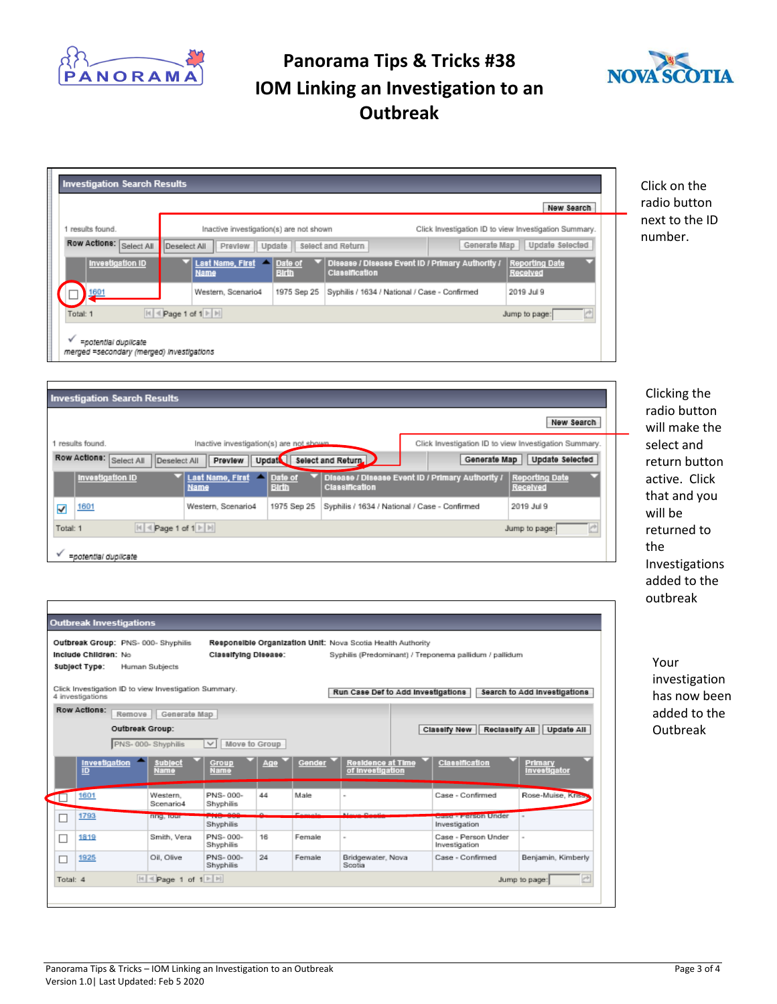



Click on the radio button next to the ID number.

| <b>Investigation Search Results</b>                                      |                                                                                                                                |                                                       |  |  |  |  |
|--------------------------------------------------------------------------|--------------------------------------------------------------------------------------------------------------------------------|-------------------------------------------------------|--|--|--|--|
|                                                                          |                                                                                                                                | New Search                                            |  |  |  |  |
| 1 results found.                                                         | Inactive investigation(s) are not shown                                                                                        | Click Investigation ID to view Investigation Summary. |  |  |  |  |
| Row Actions: Select All                                                  | Deselect All<br>Preview   Update<br>Select and Return                                                                          | Update Selected<br>Generate Map                       |  |  |  |  |
| Investigation ID                                                         | Disease / Disease Event ID / Primary Authority /<br>Last Name, First<br>Date of<br>▴<br><b>Birth</b><br>Classification<br>Name | <b>Reporting Date</b><br>Received                     |  |  |  |  |
| 1601                                                                     | Western, Scenario4<br>1975 Sep 25<br>Syphilis / 1634 / National / Case - Confirmed                                             | 2019 Jul 9                                            |  |  |  |  |
| $  \cdot  $ < Page 1 of 1 $  \cdot  $<br>P.<br>Total: 1<br>Jump to page: |                                                                                                                                |                                                       |  |  |  |  |
| =potential duplicate<br>merged =secondary (merged) investigations        |                                                                                                                                |                                                       |  |  |  |  |

| <b>Investigation Search Results</b>                                          |                                                                                        |              |                       |                                                  |                                                       |  |  |
|------------------------------------------------------------------------------|----------------------------------------------------------------------------------------|--------------|-----------------------|--------------------------------------------------|-------------------------------------------------------|--|--|
|                                                                              |                                                                                        |              |                       |                                                  | New Search                                            |  |  |
| 1 results found.                                                             | Inactive investigation(s) are not shown                                                |              |                       |                                                  | Click Investigation ID to view Investigation Summary. |  |  |
| Row Actions:<br>Select All                                                   | Preview   Updat   Select and Return<br>Update Selected<br>Generate Map<br>Deselect All |              |                       |                                                  |                                                       |  |  |
| Investigation ID                                                             | Last Name, First   Date of<br>Name                                                     | <b>Birth</b> | <b>Classification</b> | Disease / Disease Event ID / Primary Authority / | <b>Reporting Date</b><br>Received                     |  |  |
| 1601<br>√                                                                    | Western, Scenario4                                                                     | 1975 Sep 25  |                       | Syphilis / 1634 / National / Case - Confirmed    | 2019 Jul 9                                            |  |  |
| $ 4 $ + Page 1 of 1 $\triangleright$ $ 3 $<br>Ċ<br>Total: 1<br>Jump to page: |                                                                                        |              |                       |                                                  |                                                       |  |  |
| =potential duplicate                                                         |                                                                                        |              |                       |                                                  |                                                       |  |  |

Clicking the radio button will make the select and return button active. Click that and you will be returned to the Investigations added to the outbreak

Your investigation has now been added to the Outbreak

|                                                                                  | Outbreak Group: PNS-000-Shyphilis<br>Include Children: No<br>Subject Type: | Human Subjects         | Classifying Disease:  |               |         | Responsible Organization Unit: Nova Scotia Health Authority |  | Syphilis (Predominant) / Treponema pallidum / pallidum |                                       |
|----------------------------------------------------------------------------------|----------------------------------------------------------------------------|------------------------|-----------------------|---------------|---------|-------------------------------------------------------------|--|--------------------------------------------------------|---------------------------------------|
|                                                                                  | Click Investigation ID to view Investigation Summary.<br>4 investigations  |                        |                       |               |         | Run Case Def to Add Investigations                          |  |                                                        | Search to Add Investigations          |
|                                                                                  | <b>Row Actions:</b><br>Remove                                              | Generate Map           |                       |               |         |                                                             |  |                                                        |                                       |
|                                                                                  | Outbreak Group:                                                            |                        |                       |               |         |                                                             |  | Reclassify All<br>Classify New                         | Update All                            |
|                                                                                  |                                                                            | PNS-000-Shyphilis      | $\checkmark$          | Move to Group |         |                                                             |  |                                                        |                                       |
|                                                                                  | Investigation<br>ÎĎ                                                        | <b>Subject</b><br>Name | Group<br>Name         | Аде           | Gender  | Residence at Time<br>of investigation                       |  | Classification                                         | <b>Primary</b><br><b>Investigator</b> |
|                                                                                  | 1601                                                                       | Western<br>Scenario4   | PNS-000-<br>Shyphilis | 44            | Male    | $\sim$                                                      |  | Case - Confirmed                                       | Rose-Muise, Kriss                     |
| □                                                                                | 1793                                                                       | fing, lour             | Shyphilis             | $\sim$        | Enmails | <b>Blue on Planetic</b>                                     |  | <b>CONTRACTOR CONTROL</b><br>Investigation             |                                       |
| □                                                                                | 1819                                                                       | Smith, Vera            | PNS-000-<br>Shyphilis | 16            | Female  | $\sim$                                                      |  | Case - Person Under<br>Investigation                   | $\sim$                                |
| □                                                                                | 1925                                                                       | Oil, Olive             | PNS-000-<br>Shyphilis | 24            | Female  | Bridgewater, Nova<br>Scotia                                 |  | Case - Confirmed                                       | Benjamin, Kimberly                    |
| <b>H</b><br>$\mathbb{H}$ < Page 1 of $1 \mathbb{H}$<br>Total: 4<br>Jump to page: |                                                                            |                        |                       |               |         |                                                             |  |                                                        |                                       |